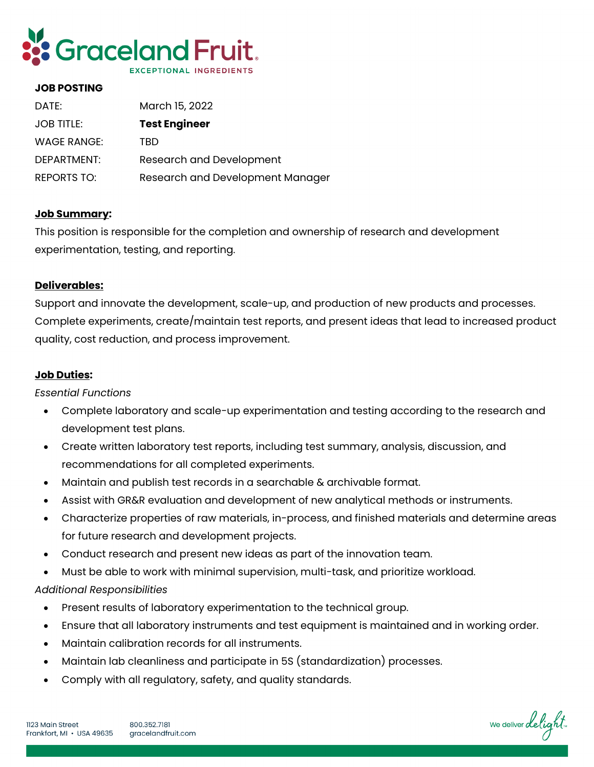

#### **JOB POSTING**

| DATE:              | March 15, 2022                   |
|--------------------|----------------------------------|
| <b>JOB TITLE:</b>  | <b>Test Engineer</b>             |
| WAGE RANGE:        | TBD                              |
| DEPARTMENT:        | Research and Development         |
| <b>REPORTS TO:</b> | Research and Development Manager |

### **Job Summary:**

This position is responsible for the completion and ownership of research and development experimentation, testing, and reporting.

### **Deliverables:**

Support and innovate the development, scale-up, and production of new products and processes. Complete experiments, create/maintain test reports, and present ideas that lead to increased product quality, cost reduction, and process improvement.

### **Job Duties:**

## *Essential Functions*

- Complete laboratory and scale-up experimentation and testing according to the research and development test plans.
- Create written laboratory test reports, including test summary, analysis, discussion, and recommendations for all completed experiments.
- Maintain and publish test records in a searchable & archivable format.
- Assist with GR&R evaluation and development of new analytical methods or instruments.
- Characterize properties of raw materials, in-process, and finished materials and determine areas for future research and development projects.
- Conduct research and present new ideas as part of the innovation team.
- Must be able to work with minimal supervision, multi-task, and prioritize workload.

## *Additional Responsibilities*

- Present results of laboratory experimentation to the technical group.
- Ensure that all laboratory instruments and test equipment is maintained and in working order.
- Maintain calibration records for all instruments.
- Maintain lab cleanliness and participate in 5S (standardization) processes.
- Comply with all regulatory, safety, and quality standards.

We deliver delight.